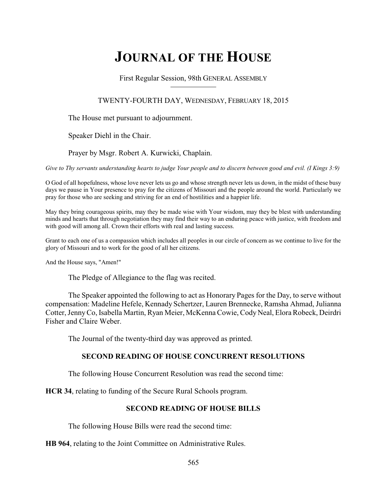# **JOURNAL OF THE HOUSE**

First Regular Session, 98th GENERAL ASSEMBLY

TWENTY-FOURTH DAY, WEDNESDAY, FEBRUARY 18, 2015

The House met pursuant to adjournment.

Speaker Diehl in the Chair.

Prayer by Msgr. Robert A. Kurwicki, Chaplain.

*Give to Thy servants understanding hearts to judge Your people and to discern between good and evil. (I Kings 3:9)*

O God of all hopefulness, whose love never lets us go and whose strength never lets us down, in the midst of these busy days we pause in Your presence to pray for the citizens of Missouri and the people around the world. Particularly we pray for those who are seeking and striving for an end of hostilities and a happier life.

May they bring courageous spirits, may they be made wise with Your wisdom, may they be blest with understanding minds and hearts that through negotiation they may find their way to an enduring peace with justice, with freedom and with good will among all. Crown their efforts with real and lasting success.

Grant to each one of us a compassion which includes all peoples in our circle of concern as we continue to live for the glory of Missouri and to work for the good of all her citizens.

And the House says, "Amen!"

The Pledge of Allegiance to the flag was recited.

The Speaker appointed the following to act as Honorary Pages for the Day, to serve without compensation: Madeline Hefele, Kennady Schertzer, Lauren Brennecke, Ramsha Ahmad, Julianna Cotter, JennyCo, Isabella Martin, Ryan Meier, McKenna Cowie, Cody Neal, Elora Robeck, Deirdri Fisher and Claire Weber.

The Journal of the twenty-third day was approved as printed.

# **SECOND READING OF HOUSE CONCURRENT RESOLUTIONS**

The following House Concurrent Resolution was read the second time:

**HCR 34**, relating to funding of the Secure Rural Schools program.

# **SECOND READING OF HOUSE BILLS**

The following House Bills were read the second time:

**HB 964**, relating to the Joint Committee on Administrative Rules.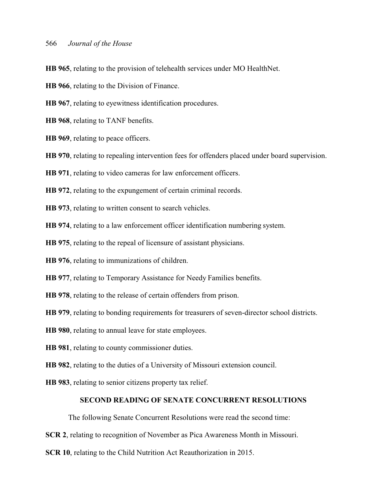**HB 965**, relating to the provision of telehealth services under MO HealthNet.

**HB 966**, relating to the Division of Finance.

**HB 967**, relating to eyewitness identification procedures.

**HB 968**, relating to TANF benefits.

**HB 969**, relating to peace officers.

**HB 970**, relating to repealing intervention fees for offenders placed under board supervision.

**HB 971**, relating to video cameras for law enforcement officers.

**HB 972**, relating to the expungement of certain criminal records.

**HB 973**, relating to written consent to search vehicles.

**HB 974**, relating to a law enforcement officer identification numbering system.

**HB 975**, relating to the repeal of licensure of assistant physicians.

**HB 976**, relating to immunizations of children.

**HB 977**, relating to Temporary Assistance for Needy Families benefits.

**HB 978**, relating to the release of certain offenders from prison.

**HB 979**, relating to bonding requirements for treasurers of seven-director school districts.

**HB 980**, relating to annual leave for state employees.

**HB 981**, relating to county commissioner duties.

**HB 982**, relating to the duties of a University of Missouri extension council.

**HB 983**, relating to senior citizens property tax relief.

### **SECOND READING OF SENATE CONCURRENT RESOLUTIONS**

The following Senate Concurrent Resolutions were read the second time:

**SCR 2**, relating to recognition of November as Pica Awareness Month in Missouri.

**SCR 10**, relating to the Child Nutrition Act Reauthorization in 2015.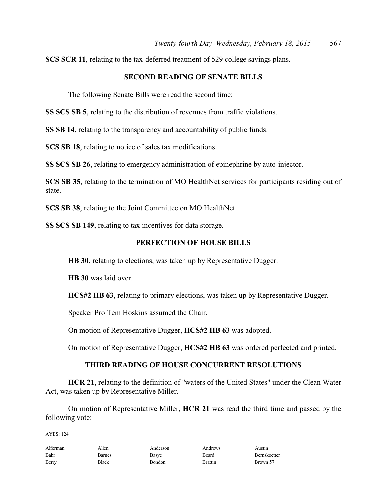**SCS SCR 11**, relating to the tax-deferred treatment of 529 college savings plans.

# **SECOND READING OF SENATE BILLS**

The following Senate Bills were read the second time:

**SS SCS SB 5**, relating to the distribution of revenues from traffic violations.

**SS SB 14**, relating to the transparency and accountability of public funds.

**SCS SB 18**, relating to notice of sales tax modifications.

**SS SCS SB 26**, relating to emergency administration of epinephrine by auto-injector.

**SCS SB 35**, relating to the termination of MO HealthNet services for participants residing out of state.

**SCS SB 38**, relating to the Joint Committee on MO HealthNet.

**SS SCS SB 149**, relating to tax incentives for data storage.

### **PERFECTION OF HOUSE BILLS**

**HB 30**, relating to elections, was taken up by Representative Dugger.

**HB 30** was laid over.

**HCS#2 HB 63**, relating to primary elections, was taken up by Representative Dugger.

Speaker Pro Tem Hoskins assumed the Chair.

On motion of Representative Dugger, **HCS#2 HB 63** was adopted.

On motion of Representative Dugger, **HCS#2 HB 63** was ordered perfected and printed.

## **THIRD READING OF HOUSE CONCURRENT RESOLUTIONS**

**HCR 21**, relating to the definition of "waters of the United States" under the Clean Water Act, was taken up by Representative Miller.

On motion of Representative Miller, **HCR 21** was read the third time and passed by the following vote:

AYES: 124

| Alferman | Allen  | Anderson | Andrews        | Austin       |
|----------|--------|----------|----------------|--------------|
| Bahr     | Barnes | Basye    | Beard          | Bernskoetter |
| Berry    | Black  | Bondon   | <b>Brattin</b> | Brown 57     |

Alferman Allen Anderson Andrews Austin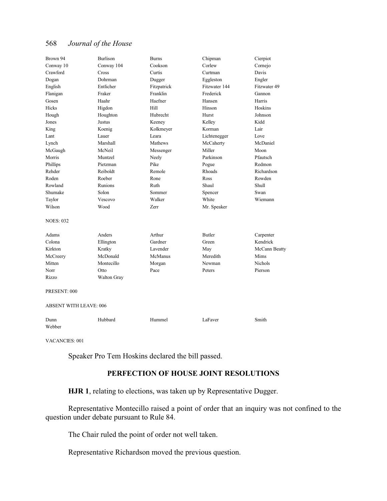| Brown 94                      | <b>Burlison</b> | <b>Burns</b>   | Chipman       | Cierpiot      |
|-------------------------------|-----------------|----------------|---------------|---------------|
| Conway 10                     | Conway 104      | Cookson        | Corlew        | Cornejo       |
| Crawford                      | Cross           | Curtis         | Curtman       | Davis         |
| Dogan                         | Dohrman         | Dugger         | Eggleston     | Engler        |
| English                       | Entlicher       | Fitzpatrick    | Fitzwater 144 | Fitzwater 49  |
| Flanigan                      | Fraker          | Franklin       | Frederick     | Gannon        |
| Gosen                         | Haahr           | Haefner        | Hansen        | Harris        |
| Hicks                         | Higdon          | Hill           | Hinson        | Hoskins       |
| Hough                         | Houghton        | Hubrecht       | Hurst         | Johnson       |
| Jones                         | Justus          | Keeney         | Kelley        | Kidd          |
| King                          | Koenig          | Kolkmeyer      | Korman        | Lair          |
| Lant                          | Lauer           | Leara          | Lichtenegger  | Love          |
| Lynch                         | Marshall        | <b>Mathews</b> | McCaherty     | McDaniel      |
| McGaugh                       | McNeil          | Messenger      | Miller        | Moon          |
| Morris                        | Muntzel         | Neely          | Parkinson     | Pfautsch      |
| Phillips                      | Pietzman        | Pike           | Pogue         | Redmon        |
| Rehder                        | Reiboldt        | Remole         | Rhoads        | Richardson    |
| Roden                         | Roeber          | Rone           | Ross          | Rowden        |
| Rowland                       | Runions         | Ruth           | Shaul         | Shull         |
| Shumake                       | Solon           | Sommer         | Spencer       | Swan          |
| Taylor                        | Vescovo         | Walker         | White         | Wiemann       |
| Wilson                        | Wood            | Zerr           | Mr. Speaker   |               |
| <b>NOES: 032</b>              |                 |                |               |               |
| Adams                         | Anders          | Arthur         | <b>Butler</b> | Carpenter     |
| Colona                        | Ellington       | Gardner        | Green         | Kendrick      |
| Kirkton                       | Kratky          | Lavender       | May           | McCann Beatty |
| McCreery                      | McDonald        | McManus        | Meredith      | Mims          |
| Mitten                        | Montecillo      | Morgan         | Newman        | Nichols       |
| Norr                          | Otto            | Pace           | Peters        | Pierson       |
| Rizzo                         | Walton Gray     |                |               |               |
| PRESENT: 000                  |                 |                |               |               |
| <b>ABSENT WITH LEAVE: 006</b> |                 |                |               |               |
| Dunn<br>Webber                | Hubbard         | Hummel         | LaFaver       | Smith         |

VACANCIES: 001

Speaker Pro Tem Hoskins declared the bill passed.

# **PERFECTION OF HOUSE JOINT RESOLUTIONS**

**HJR 1**, relating to elections, was taken up by Representative Dugger.

Representative Montecillo raised a point of order that an inquiry was not confined to the question under debate pursuant to Rule 84.

The Chair ruled the point of order not well taken.

Representative Richardson moved the previous question.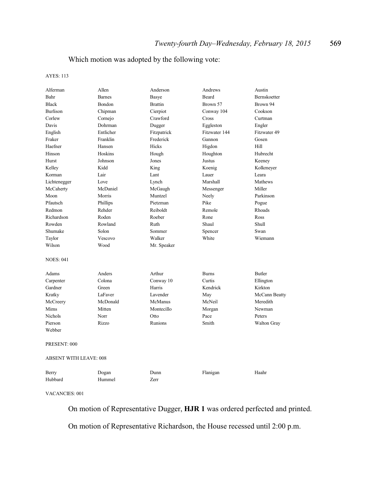# Which motion was adopted by the following vote:

#### AYES: 113

| Alferman                      | Allen         | Anderson       | Andrews       | Austin             |
|-------------------------------|---------------|----------------|---------------|--------------------|
| Bahr                          | <b>Barnes</b> | Basye          | Beard         | Bernskoetter       |
| <b>Black</b>                  | Bondon        | <b>Brattin</b> | Brown 57      | Brown 94           |
| <b>Burlison</b>               | Chipman       | Cierpiot       | Conway 104    | Cookson            |
| Corlew                        | Cornejo       | Crawford       | Cross         | Curtman            |
| Davis                         | Dohrman       | Dugger         | Eggleston     | Engler             |
| English                       | Entlicher     | Fitzpatrick    | Fitzwater 144 | Fitzwater 49       |
| Fraker                        | Franklin      | Frederick      | Gannon        | Gosen              |
| Haefner                       | Hansen        | Hicks          | Higdon        | Hill               |
| Hinson                        | Hoskins       | Hough          | Houghton      | Hubrecht           |
| Hurst                         | Johnson       | Jones          | Justus        | Keeney             |
| Kelley                        | Kidd          | King           | Koenig        | Kolkmeyer          |
| Korman                        | Lair          | Lant           | Lauer         | Leara              |
| Lichtenegger                  | Love          | Lynch          | Marshall      | Mathews            |
| McCaherty                     | McDaniel      | McGaugh        | Messenger     | Miller             |
| Moon                          | Morris        | Muntzel        | Neely         | Parkinson          |
| Pfautsch                      | Phillips      | Pietzman       | Pike          | Pogue              |
| Redmon                        | Rehder        | Reiboldt       | Remole        | Rhoads             |
| Richardson                    | Roden         | Roeber         | Rone          | Ross               |
| Rowden                        | Rowland       | Ruth           | Shaul         | Shull              |
| Shumake                       | Solon         | Sommer         | Spencer       | Swan               |
| Taylor                        | Vescovo       | Walker         | White         | Wiemann            |
| Wilson                        | Wood          | Mr. Speaker    |               |                    |
| <b>NOES: 041</b>              |               |                |               |                    |
| Adams                         | Anders        | Arthur         | <b>Burns</b>  | <b>Butler</b>      |
| Carpenter                     | Colona        | Conway 10      | Curtis        | Ellington          |
| Gardner                       | Green         | Harris         | Kendrick      | Kirkton            |
| Kratky                        | LaFaver       | Lavender       | May           | McCann Beatty      |
| McCreery                      | McDonald      | McManus        | McNeil        | Meredith           |
| Mims                          | Mitten        | Montecillo     | Morgan        | Newman             |
| <b>Nichols</b>                | Norr          | Otto           | Pace          | Peters             |
| Pierson                       | Rizzo         | Runions        | Smith         | <b>Walton Gray</b> |
| Webber                        |               |                |               |                    |
| PRESENT: 000                  |               |                |               |                    |
| <b>ABSENT WITH LEAVE: 008</b> |               |                |               |                    |
| Berry                         | Dogan         | Dunn           | Flanigan      | Haahr              |
| Hubbard                       | Hummel        | Zerr           |               |                    |
|                               |               |                |               |                    |

VACANCIES: 001

On motion of Representative Dugger, **HJR 1** was ordered perfected and printed.

On motion of Representative Richardson, the House recessed until 2:00 p.m.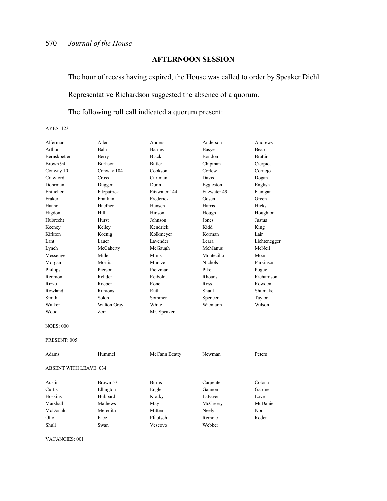# **AFTERNOON SESSION**

The hour of recess having expired, the House was called to order by Speaker Diehl.

Representative Richardson suggested the absence of a quorum.

The following roll call indicated a quorum present:

AYES: 123

| Alferman                      | Allen           | Anders        | Anderson       | Andrews        |
|-------------------------------|-----------------|---------------|----------------|----------------|
| Arthur                        | Bahr            | <b>Barnes</b> | <b>Basye</b>   | <b>Beard</b>   |
| <b>Bernskoetter</b>           | Berry           | <b>Black</b>  | Bondon         | <b>Brattin</b> |
| Brown 94                      | <b>Burlison</b> | Butler        | Chipman        | Cierpiot       |
| Conway 10                     | Conway 104      | Cookson       | Corlew         | Cornejo        |
| Crawford                      | Cross           | Curtman       | Davis          | Dogan          |
| Dohrman                       | Dugger          | Dunn          | Eggleston      | English        |
| Entlicher                     | Fitzpatrick     | Fitzwater 144 | Fitzwater 49   | Flanigan       |
| Fraker                        | Franklin        | Frederick     | Gosen          | Green          |
| Haahr                         | Haefner         | Hansen        | Harris         | Hicks          |
| Higdon                        | Hill            | Hinson        | Hough          | Houghton       |
| Hubrecht                      | Hurst           | Johnson       | Jones          | Justus         |
| Keeney                        | Kelley          | Kendrick      | Kidd           | King           |
| Kirkton                       | Koenig          | Kolkmeyer     | Korman         | Lair           |
| Lant                          | Lauer           | Lavender      | Leara          | Lichtenegger   |
| Lynch                         | McCaherty       | McGaugh       | McManus        | McNeil         |
| Messenger                     | Miller          | Mims          | Montecillo     | Moon           |
| Morgan                        | Morris          | Muntzel       | <b>Nichols</b> | Parkinson      |
| Phillips                      | Pierson         | Pietzman      | Pike           | Pogue          |
| Redmon                        | Rehder          | Reiboldt      | Rhoads         | Richardson     |
| Rizzo                         | Roeber          | Rone          | Ross           | Rowden         |
| Rowland                       | <b>Runions</b>  | Ruth          | Shaul          | Shumake        |
| Smith                         | Solon           | Sommer        | Spencer        | Taylor         |
| Walker                        | Walton Gray     | White         | Wiemann        | Wilson         |
| Wood                          | Zerr            | Mr. Speaker   |                |                |
| <b>NOES: 000</b>              |                 |               |                |                |
| PRESENT: 005                  |                 |               |                |                |
| Adams                         | Hummel          | McCann Beatty | Newman         | Peters         |
| <b>ABSENT WITH LEAVE: 034</b> |                 |               |                |                |
| Austin                        | Brown 57        | <b>Burns</b>  | Carpenter      | Colona         |
| Curtis                        | Ellington       | Engler        | Gannon         | Gardner        |
| Hoskins                       | Hubbard         | Kratky        | LaFaver        | Love           |
| Marshall                      | Mathews         | May           | McCreery       | McDaniel       |

McDonald Meredith Mitten Neely Norr Otto Pace Pfautsch Remole Roden

Shull Swan Vescovo Webber

VACANCIES: 001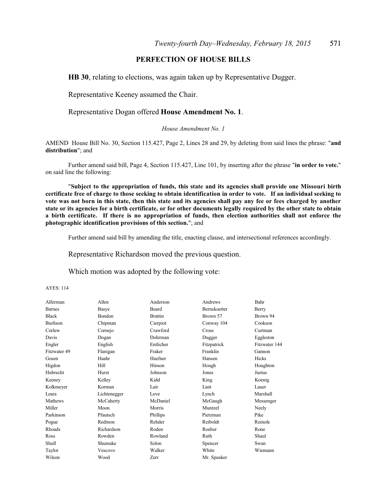# **PERFECTION OF HOUSE BILLS**

**HB 30**, relating to elections, was again taken up by Representative Dugger.

Representative Keeney assumed the Chair.

#### Representative Dogan offered **House Amendment No. 1**.

#### *House Amendment No. 1*

AMEND House Bill No. 30, Section 115.427, Page 2, Lines 28 and 29, by deleting from said lines the phrase: "**and distribution**"; and

Further amend said bill, Page 4, Section 115.427, Line 101, by inserting after the phrase "**in order to vote.**" on said line the following:

"**Subject to the appropriation of funds, this state and its agencies shall provide one Missouri birth certificate free of charge to those seeking to obtain identification in order to vote. If an individual seeking to vote was not born in this state, then this state and its agencies shall pay any fee or fees charged by another state or its agencies for a birth certificate, or for other documents legally required by the other state to obtain a birth certificate. If there is no appropriation of funds, then election authorities shall not enforce the photographic identification provisions of this section.**"; and

Further amend said bill by amending the title, enacting clause, and intersectional references accordingly.

Representative Richardson moved the previous question.

Which motion was adopted by the following vote:

AYES: 114

| Alferman        | Allen         | Anderson       | Andrews             | Bahr          |
|-----------------|---------------|----------------|---------------------|---------------|
| <b>Barnes</b>   | Basye         | Beard          | <b>Bernskoetter</b> | Berry         |
| <b>Black</b>    | <b>Bondon</b> | <b>Brattin</b> | Brown 57            | Brown 94      |
| <b>Burlison</b> | Chipman       | Cierpiot       | Conway 104          | Cookson       |
| Corlew          | Cornejo       | Crawford       | Cross               | Curtman       |
| Davis           | Dogan         | Dohrman        | Dugger              | Eggleston     |
| Engler          | English       | Entlicher      | Fitzpatrick         | Fitzwater 144 |
| Fitzwater 49    | Flanigan      | Fraker         | Franklin            | Gannon        |
| Gosen           | Haahr         | Haefner        | Hansen              | Hicks         |
| Higdon          | Hill          | Hinson         | Hough               | Houghton      |
| Hubrecht        | Hurst         | Johnson        | Jones               | Justus        |
| Keeney          | Kelley        | Kidd           | King                | Koenig        |
| Kolkmeyer       | Korman        | Lair           | Lant                | Lauer         |
| Leara           | Lichtenegger  | Love           | Lynch               | Marshall      |
| Mathews         | McCaherty     | McDaniel       | McGaugh             | Messenger     |
| Miller          | Moon          | Morris         | Muntzel             | Neely         |
| Parkinson       | Pfautsch      | Phillips       | Pietzman            | Pike          |
| Pogue           | Redmon        | Rehder         | Reiboldt            | Remole        |
| Rhoads          | Richardson    | Roden          | Roeber              | Rone          |
| Ross            | Rowden        | Rowland        | Ruth                | Shaul         |
| Shull           | Shumake       | Solon          | Spencer             | Swan          |
| Taylor          | Vescovo       | Walker         | White               | Wiemann       |
| Wilson          | Wood          | Zerr           | Mr. Speaker         |               |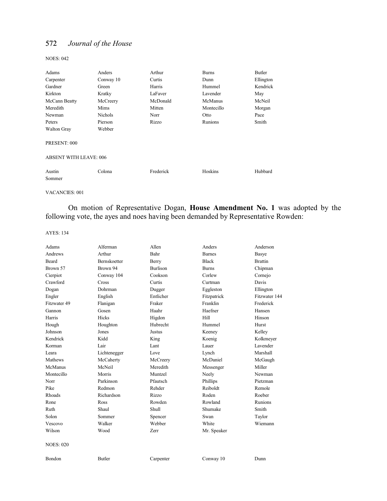NOES: 042

| Anders                        | Arthur    | <b>Burns</b> | Butler    |
|-------------------------------|-----------|--------------|-----------|
| Conway 10                     | Curtis    | Dunn         | Ellington |
| Green                         | Harris    | Hummel       | Kendrick  |
| Kratky                        | LaFaver   | Lavender     | May       |
| McCreery                      | McDonald  | McManus      | McNeil    |
| Mims                          | Mitten    | Montecillo   | Morgan    |
| <b>Nichols</b>                | Norr      | Otto         | Pace      |
| Pierson                       | Rizzo     | Runions      | Smith     |
| Webber                        |           |              |           |
|                               |           |              |           |
| <b>ABSENT WITH LEAVE: 006</b> |           |              |           |
| Colona                        | Frederick | Hoskins      | Hubbard   |
|                               |           |              |           |

VACANCIES: 001

On motion of Representative Dogan, **House Amendment No. 1** was adopted by the following vote, the ayes and noes having been demanded by Representative Rowden:

AYES: 134

| Adams            | Alferman            | Allen           | Anders        | Anderson       |
|------------------|---------------------|-----------------|---------------|----------------|
| Andrews          | Arthur              | Bahr            | <b>Barnes</b> | Basye          |
| <b>Beard</b>     | <b>Bernskoetter</b> | Berry           | <b>Black</b>  | <b>Brattin</b> |
| Brown 57         | Brown 94            | <b>Burlison</b> | <b>Burns</b>  | Chipman        |
| Cierpiot         | Conway 104          | Cookson         | Corlew        | Cornejo        |
| Crawford         | Cross               | Curtis          | Curtman       | Davis          |
| Dogan            | Dohrman             | Dugger          | Eggleston     | Ellington      |
| Engler           | English             | Entlicher       | Fitzpatrick   | Fitzwater 144  |
| Fitzwater 49     | Flanigan            | Fraker          | Franklin      | Frederick      |
| Gannon           | Gosen               | Haahr           | Haefner       | Hansen         |
| Harris           | Hicks               | Higdon          | Hill          | Hinson         |
| Hough            | Houghton            | Hubrecht        | Hummel        | Hurst          |
| Johnson          | Jones               | Justus          | Keeney        | Kelley         |
| Kendrick         | Kidd                | King            | Koenig        | Kolkmeyer      |
| Korman           | Lair                | Lant            | Lauer         | Lavender       |
| I eara           | Lichtenegger        | Love            | Lynch         | Marshall       |
| Mathews          | McCaherty           | McCreery        | McDaniel      | McGaugh        |
| McManus          | McNeil              | Meredith        | Messenger     | Miller         |
| Montecillo       | Morris              | Muntzel         | Neely         | Newman         |
| Norr             | Parkinson           | Pfautsch        | Phillips      | Pietzman       |
| Pike             | Redmon              | Rehder          | Reiboldt      | Remole         |
| Rhoads           | Richardson          | Rizzo           | Roden         | Roeber         |
| Rone             | <b>Ross</b>         | Rowden          | Rowland       | <b>Runions</b> |
| Ruth             | Shaul               | Shull           | Shumake       | Smith          |
| Solon            | Sommer              | Spencer         | Swan          | Taylor         |
| Vescovo          | Walker              | Webber          | White         | Wiemann        |
| Wilson           | Wood                | <b>Zerr</b>     | Mr. Speaker   |                |
| <b>NOES: 020</b> |                     |                 |               |                |
| Bondon           | <b>Butler</b>       | Carpenter       | Conway 10     | Dunn           |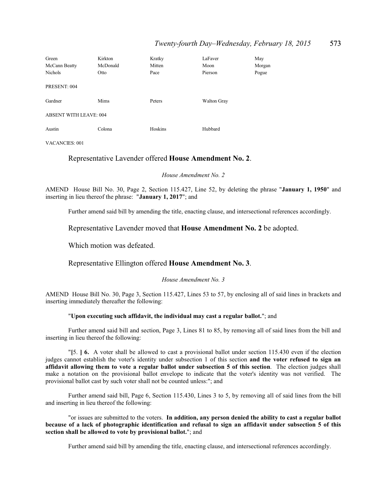### *Twenty-fourth Day–Wednesday, February 18, 2015* 573

| Kirkton                   | Kratky  | LaFaver            | May    |
|---------------------------|---------|--------------------|--------|
| McDonald<br>McCann Beatty | Mitten  | Moon               | Morgan |
| Otto                      | Pace    | Pierson            | Pogue  |
| PRESENT: 004              |         |                    |        |
| Mims                      | Peters  | <b>Walton Gray</b> |        |
| ABSENT WITH LEAVE: 004    |         |                    |        |
| Colona                    | Hoskins | Hubbard            |        |
|                           |         |                    |        |

VACANCIES: 001

#### Representative Lavender offered **House Amendment No. 2**.

*House Amendment No. 2*

AMEND House Bill No. 30, Page 2, Section 115.427, Line 52, by deleting the phrase "**January 1, 1950**" and inserting in lieu thereof the phrase: "**January 1, 2017**"; and

Further amend said bill by amending the title, enacting clause, and intersectional references accordingly.

Representative Lavender moved that **House Amendment No. 2** be adopted.

Which motion was defeated.

#### Representative Ellington offered **House Amendment No. 3**.

*House Amendment No. 3*

AMEND House Bill No. 30, Page 3, Section 115.427, Lines 53 to 57, by enclosing all of said lines in brackets and inserting immediately thereafter the following:

#### "**Upon executing such affidavit, the individual may cast a regular ballot.**"; and

Further amend said bill and section, Page 3, Lines 81 to 85, by removing all of said lines from the bill and inserting in lieu thereof the following:

"**[**5. **] 6.** A voter shall be allowed to cast a provisional ballot under section 115.430 even if the election judges cannot establish the voter's identity under subsection 1 of this section **and the voter refused to sign an affidavit allowing them to vote a regular ballot under subsection 5 of this section**. The election judges shall make a notation on the provisional ballot envelope to indicate that the voter's identity was not verified. The provisional ballot cast by such voter shall not be counted unless:"; and

Further amend said bill, Page 6, Section 115.430, Lines 3 to 5, by removing all of said lines from the bill and inserting in lieu thereof the following:

"or issues are submitted to the voters. **In addition, any person denied the ability to cast a regular ballot because of a lack of photographic identification and refusal to sign an affidavit under subsection 5 of this section shall be allowed to vote by provisional ballot.**"; and

Further amend said bill by amending the title, enacting clause, and intersectional references accordingly.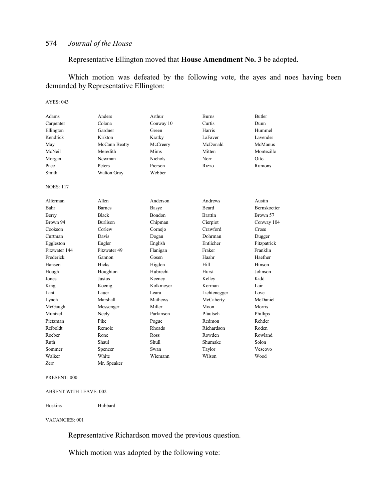# Representative Ellington moved that **House Amendment No. 3** be adopted.

Which motion was defeated by the following vote, the ayes and noes having been demanded by Representative Ellington:

#### AYES: 043

| Adams            | Anders          | Arthur         | <b>Burns</b>   | <b>Butler</b>       |
|------------------|-----------------|----------------|----------------|---------------------|
| Carpenter        | Colona          | Conway 10      | Curtis         | Dunn                |
| Ellington        | Gardner         | Green          | Harris         | Hummel              |
| Kendrick         | Kirkton         | Kratky         | LaFaver        | Lavender            |
| May              | McCann Beatty   | McCreery       | McDonald       | McManus             |
| McNeil           | Meredith        | Mims           | Mitten         | Montecillo          |
| Morgan           | Newman          | <b>Nichols</b> | Norr           | Otto                |
| Pace             | Peters          | Pierson        | Rizzo          | Runions             |
| Smith            | Walton Gray     | Webber         |                |                     |
| <b>NOES: 117</b> |                 |                |                |                     |
| Alferman         | Allen           | Anderson       | Andrews        | Austin              |
| Bahr             | <b>Barnes</b>   | Basye          | Beard          | <b>Bernskoetter</b> |
| Berry            | <b>Black</b>    | Bondon         | <b>Brattin</b> | Brown 57            |
| Brown 94         | <b>Burlison</b> | Chipman        | Cierpiot       | Conway 104          |
| Cookson          | Corlew          | Cornejo        | Crawford       | Cross               |
| Curtman          | Davis           | Dogan          | Dohrman        | Dugger              |
| Eggleston        | Engler          | English        | Entlicher      | Fitzpatrick         |
| Fitzwater 144    | Fitzwater 49    | Flanigan       | Fraker         | Franklin            |
| Frederick        | Gannon          | Gosen          | Haahr          | Haefner             |
| Hansen           | Hicks           | Higdon         | Hill           | Hinson              |
| Hough            | Houghton        | Hubrecht       | Hurst          | Johnson             |
| Jones            | Justus          | Keeney         | Kelley         | Kidd                |
| King             | Koenig          | Kolkmeyer      | Korman         | Lair                |
| Lant             | Lauer           | Leara          | Lichtenegger   | Love                |
| Lynch            | Marshall        | Mathews        | McCaherty      | McDaniel            |
| McGaugh          | Messenger       | Miller         | Moon           | Morris              |
| Muntzel          | Neely           | Parkinson      | Pfautsch       | Phillips            |
| Pietzman         | Pike            | Pogue          | Redmon         | Rehder              |
| Reiboldt         | Remole          | Rhoads         | Richardson     | Roden               |
| Roeber           | Rone            | Ross           | Rowden         | Rowland             |
| Ruth             | Shaul           | Shull          | Shumake        | Solon               |
| Sommer           | Spencer         | Swan           | Taylor         | Vescovo             |
| Walker           | White           | Wiemann        | Wilson         | Wood                |
| Zerr             | Mr. Speaker     |                |                |                     |

#### PRESENT: 000

#### ABSENT WITH LEAVE: 002

#### Hoskins Hubbard

#### VACANCIES: 001

Representative Richardson moved the previous question.

Which motion was adopted by the following vote: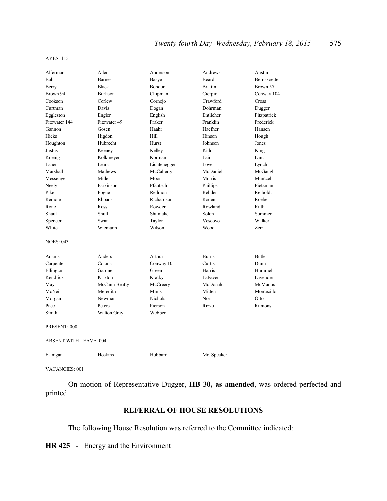#### AYES: 115

| Alferman                      | Allen              | Anderson       | Andrews        | Austin        |  |
|-------------------------------|--------------------|----------------|----------------|---------------|--|
| Bahr                          | <b>Barnes</b>      | Basye          | Beard          | Bernskoetter  |  |
| Berry                         | <b>Black</b>       | Bondon         | <b>Brattin</b> | Brown 57      |  |
| Brown 94                      | <b>Burlison</b>    | Chipman        | Cierpiot       | Conway 104    |  |
| Cookson                       | Corlew             | Cornejo        | Crawford       | Cross         |  |
| Curtman                       | Davis              | Dogan          | Dohrman        | Dugger        |  |
| Eggleston                     | Engler             | English        | Entlicher      | Fitzpatrick   |  |
| Fitzwater 144                 | Fitzwater 49       | Fraker         | Franklin       | Frederick     |  |
| Gannon                        | Gosen              | Haahr          | Haefner        | Hansen        |  |
| Hicks                         | Higdon             | Hill           | Hinson         | Hough         |  |
| Houghton                      | Hubrecht           | Hurst          | Johnson        | Jones         |  |
| Justus                        | Keeney             | Kelley         | Kidd           | King          |  |
| Koenig                        | Kolkmeyer          | Korman         | Lair           | Lant          |  |
| Lauer                         | Leara              | Lichtenegger   | Love           | Lynch         |  |
| Marshall                      | Mathews            | McCaherty      | McDaniel       | McGaugh       |  |
| Messenger                     | Miller             | Moon           | Morris         | Muntzel       |  |
| Neely                         | Parkinson          | Pfautsch       | Phillips       | Pietzman      |  |
| Pike                          | Pogue              | Redmon         | Rehder         | Reiboldt      |  |
| Remole                        | Rhoads             | Richardson     | Roden          | Roeber        |  |
| Rone                          | Ross               | Rowden         | Rowland        | Ruth          |  |
| Shaul                         | Shull              | Shumake        | Solon          | Sommer        |  |
| Spencer                       | Swan               | Taylor         | Vescovo        | Walker        |  |
| White                         | Wiemann            | Wilson         | Wood           | Zerr          |  |
| <b>NOES: 043</b>              |                    |                |                |               |  |
| Adams                         | Anders             | Arthur         | <b>Burns</b>   | <b>Butler</b> |  |
| Carpenter                     | Colona             | Conway 10      | Curtis         | Dunn          |  |
| Ellington                     | Gardner            | Green          | Harris         | Hummel        |  |
| Kendrick                      | Kirkton            | Kratky         | LaFaver        | Lavender      |  |
| May                           | McCann Beatty      | McCreery       | McDonald       | McManus       |  |
| McNeil                        | Meredith           | Mims           | Mitten         | Montecillo    |  |
| Morgan                        | Newman             | <b>Nichols</b> | Norr           | Otto          |  |
| Pace                          | Peters             | Pierson        | Rizzo          | Runions       |  |
| Smith                         | <b>Walton Gray</b> | Webber         |                |               |  |
| PRESENT: 000                  |                    |                |                |               |  |
| <b>ABSENT WITH LEAVE: 004</b> |                    |                |                |               |  |
| Flanigan                      | Hoskins            | Hubbard        | Mr. Speaker    |               |  |

VACANCIES: 001

On motion of Representative Dugger, **HB 30, as amended**, was ordered perfected and printed.

# **REFERRAL OF HOUSE RESOLUTIONS**

The following House Resolution was referred to the Committee indicated:

**HR 425** - Energy and the Environment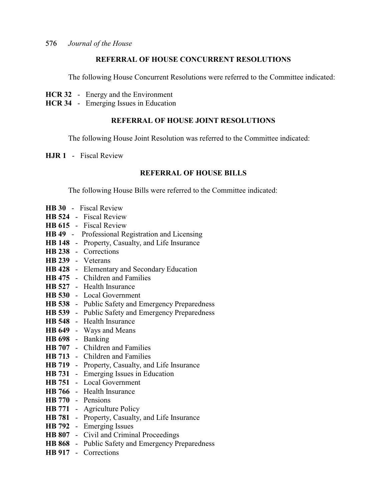# **REFERRAL OF HOUSE CONCURRENT RESOLUTIONS**

The following House Concurrent Resolutions were referred to the Committee indicated:

- **HCR 32** Energy and the Environment
- **HCR 34** Emerging Issues in Education

# **REFERRAL OF HOUSE JOINT RESOLUTIONS**

The following House Joint Resolution was referred to the Committee indicated:

**HJR 1** - Fiscal Review

### **REFERRAL OF HOUSE BILLS**

The following House Bills were referred to the Committee indicated:

- **HB 30** Fiscal Review
- **HB 524** Fiscal Review
- **HB 615** Fiscal Review
- **HB 49** Professional Registration and Licensing
- **HB 148** Property, Casualty, and Life Insurance
- **HB 238** Corrections
- **HB 239** Veterans
- **HB 428** Elementary and Secondary Education
- **HB 475** Children and Families
- **HB 527** Health Insurance
- **HB 530** Local Government
- **HB 538** Public Safety and Emergency Preparedness
- **HB 539** Public Safety and Emergency Preparedness
- **HB 548** Health Insurance
- **HB 649** Ways and Means
- **HB 698** Banking
- **HB 707** Children and Families
- **HB 713** Children and Families
- **HB 719** Property, Casualty, and Life Insurance
- **HB 731** Emerging Issues in Education
- **HB 751** Local Government
- **HB 766** Health Insurance
- **HB 770** Pensions
- **HB 771** Agriculture Policy
- **HB 781** Property, Casualty, and Life Insurance
- **HB 792** Emerging Issues
- **HB 807** Civil and Criminal Proceedings
- **HB 868** Public Safety and Emergency Preparedness
- **HB 917** Corrections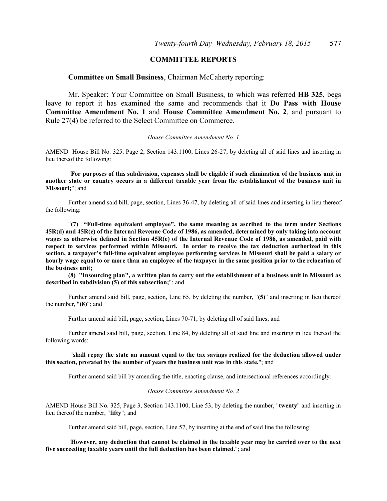# **COMMITTEE REPORTS**

#### **Committee on Small Business**, Chairman McCaherty reporting:

Mr. Speaker: Your Committee on Small Business, to which was referred **HB 325**, begs leave to report it has examined the same and recommends that it **Do Pass with House Committee Amendment No. 1** and **House Committee Amendment No. 2**, and pursuant to Rule 27(4) be referred to the Select Committee on Commerce.

#### *House Committee Amendment No. 1*

AMEND House Bill No. 325, Page 2, Section 143.1100, Lines 26-27, by deleting all of said lines and inserting in lieu thereof the following:

"**For purposes of this subdivision, expenses shall be eligible if such elimination of the business unit in another state or country occurs in a different taxable year from the establishment of the business unit in Missouri;**"; and

Further amend said bill, page, section, Lines 36-47, by deleting all of said lines and inserting in lieu thereof the following:

"**(7) "Full-time equivalent employee", the same meaning as ascribed to the term under Sections 45R(d) and 45R(e) of the Internal Revenue Code of 1986, as amended, determined by only taking into account wages as otherwise defined in Section 45R(e) of the Internal Revenue Code of 1986, as amended, paid with respect to services performed within Missouri. In order to receive the tax deduction authorized in this section, a taxpayer's full-time equivalent employee performing services in Missouri shall be paid a salary or hourly wage equal to or more than an employee of the taxpayer in the same position prior to the relocation of the business unit;**

**(8) "Insourcing plan", a written plan to carry out the establishment of a business unit in Missouri as described in subdivision (5) of this subsection;**"; and

Further amend said bill, page, section, Line 65, by deleting the number, "**(5)**" and inserting in lieu thereof the number, "**(8)**"; and

Further amend said bill, page, section, Lines 70-71, by deleting all of said lines; and

Further amend said bill, page, section, Line 84, by deleting all of said line and inserting in lieu thereof the following words:

#### "**shall repay the state an amount equal to the tax savings realized for the deduction allowed under this section, prorated by the number of years the business unit was in this state.**"; and

Further amend said bill by amending the title, enacting clause, and intersectional references accordingly.

#### *House Committee Amendment No. 2*

AMEND House Bill No. 325, Page 3, Section 143.1100, Line 53, by deleting the number, "**twenty**" and inserting in lieu thereof the number, "**fifty**"; and

Further amend said bill, page, section, Line 57, by inserting at the end of said line the following:

"**However, any deduction that cannot be claimed in the taxable year may be carried over to the next five succeeding taxable years until the full deduction has been claimed.**"; and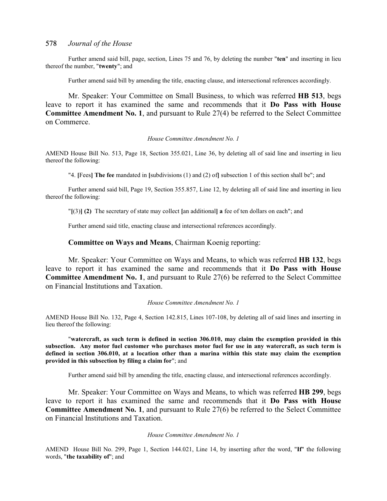Further amend said bill, page, section, Lines 75 and 76, by deleting the number "**ten**" and inserting in lieu thereof the number, "**twenty**"; and

Further amend said bill by amending the title, enacting clause, and intersectional references accordingly.

Mr. Speaker: Your Committee on Small Business, to which was referred **HB 513**, begs leave to report it has examined the same and recommends that it **Do Pass with House Committee Amendment No. 1**, and pursuant to Rule 27(4) be referred to the Select Committee on Commerce.

#### *House Committee Amendment No. 1*

AMEND House Bill No. 513, Page 18, Section 355.021, Line 36, by deleting all of said line and inserting in lieu thereof the following:

"4. **[**Fees**] The fee** mandated in **[**subdivisions (1) and (2) of**]** subsection 1 of this section shall be"; and

Further amend said bill, Page 19, Section 355.857, Line 12, by deleting all of said line and inserting in lieu thereof the following:

"**[**(3)**] (2)** The secretary of state may collect **[**an additional**] a** fee of ten dollars on each"; and

Further amend said title, enacting clause and intersectional references accordingly.

#### **Committee on Ways and Means**, Chairman Koenig reporting:

Mr. Speaker: Your Committee on Ways and Means, to which was referred **HB 132**, begs leave to report it has examined the same and recommends that it **Do Pass with House Committee Amendment No. 1**, and pursuant to Rule 27(6) be referred to the Select Committee on Financial Institutions and Taxation.

#### *House Committee Amendment No. 1*

AMEND House Bill No. 132, Page 4, Section 142.815, Lines 107-108, by deleting all of said lines and inserting in lieu thereof the following:

"**watercraft, as such term is defined in section 306.010, may claim the exemption provided in this subsection. Any motor fuel customer who purchases motor fuel for use in any watercraft, as such term is defined in section 306.010, at a location other than a marina within this state may claim the exemption provided in this subsection by filing a claim for**"; and

Further amend said bill by amending the title, enacting clause, and intersectional references accordingly.

Mr. Speaker: Your Committee on Ways and Means, to which was referred **HB 299**, begs leave to report it has examined the same and recommends that it **Do Pass with House Committee Amendment No. 1**, and pursuant to Rule 27(6) be referred to the Select Committee on Financial Institutions and Taxation.

*House Committee Amendment No. 1*

AMEND House Bill No. 299, Page 1, Section 144.021, Line 14, by inserting after the word, "**If**" the following words, "**the taxability of**"; and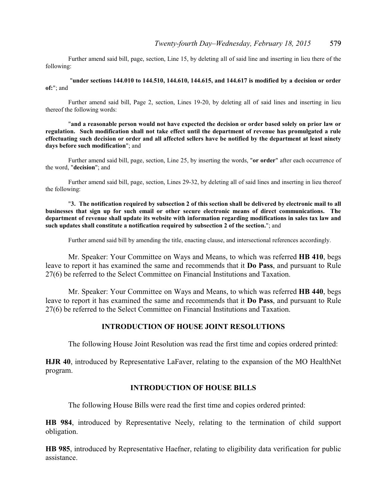Further amend said bill, page, section, Line 15, by deleting all of said line and inserting in lieu there of the following:

"**under sections 144.010 to 144.510, 144.610, 144.615, and 144.617 is modified by a decision or order of:**"; and

Further amend said bill, Page 2, section, Lines 19-20, by deleting all of said lines and inserting in lieu thereof the following words:

"**and a reasonable person would not have expected the decision or order based solely on prior law or regulation. Such modification shall not take effect until the department of revenue has promulgated a rule effectuating such decision or order and all affected sellers have be notified by the department at least ninety days before such modification**"; and

Further amend said bill, page, section, Line 25, by inserting the words, "**or order**" after each occurrence of the word, "**decision**"; and

Further amend said bill, page, section, Lines 29-32, by deleting all of said lines and inserting in lieu thereof the following:

"**3. The notification required by subsection 2 of this section shall be delivered by electronic mail to all businesses that sign up for such email or other secure electronic means of direct communications. The department of revenue shall update its website with information regarding modifications in sales tax law and such updates shall constitute a notification required by subsection 2 of the section.**"; and

Further amend said bill by amending the title, enacting clause, and intersectional references accordingly.

Mr. Speaker: Your Committee on Ways and Means, to which was referred **HB 410**, begs leave to report it has examined the same and recommends that it **Do Pass**, and pursuant to Rule 27(6) be referred to the Select Committee on Financial Institutions and Taxation.

Mr. Speaker: Your Committee on Ways and Means, to which was referred **HB 440**, begs leave to report it has examined the same and recommends that it **Do Pass**, and pursuant to Rule 27(6) be referred to the Select Committee on Financial Institutions and Taxation.

### **INTRODUCTION OF HOUSE JOINT RESOLUTIONS**

The following House Joint Resolution was read the first time and copies ordered printed:

**HJR 40**, introduced by Representative LaFaver, relating to the expansion of the MO HealthNet program.

### **INTRODUCTION OF HOUSE BILLS**

The following House Bills were read the first time and copies ordered printed:

**HB 984**, introduced by Representative Neely, relating to the termination of child support obligation.

**HB 985**, introduced by Representative Haefner, relating to eligibility data verification for public assistance.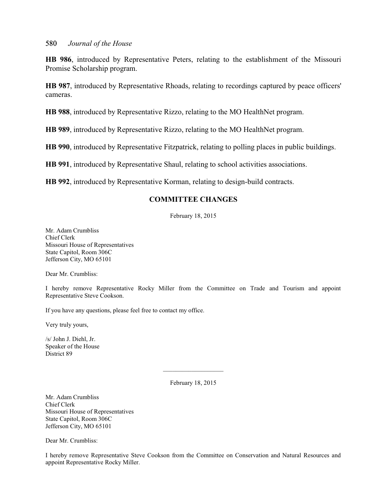**HB 986**, introduced by Representative Peters, relating to the establishment of the Missouri Promise Scholarship program.

**HB 987**, introduced by Representative Rhoads, relating to recordings captured by peace officers' cameras.

**HB 988**, introduced by Representative Rizzo, relating to the MO HealthNet program.

**HB 989**, introduced by Representative Rizzo, relating to the MO HealthNet program.

**HB 990**, introduced by Representative Fitzpatrick, relating to polling places in public buildings.

**HB 991**, introduced by Representative Shaul, relating to school activities associations.

**HB 992**, introduced by Representative Korman, relating to design-build contracts.

# **COMMITTEE CHANGES**

February 18, 2015

Mr. Adam Crumbliss Chief Clerk Missouri House of Representatives State Capitol, Room 306C Jefferson City, MO 65101

Dear Mr. Crumbliss:

I hereby remove Representative Rocky Miller from the Committee on Trade and Tourism and appoint Representative Steve Cookson.

If you have any questions, please feel free to contact my office.

Very truly yours,

/s/ John J. Diehl, Jr. Speaker of the House District 89

February 18, 2015

\_\_\_\_\_\_\_\_\_\_\_\_\_\_\_\_\_\_\_

Mr. Adam Crumbliss Chief Clerk Missouri House of Representatives State Capitol, Room 306C Jefferson City, MO 65101

Dear Mr. Crumbliss:

I hereby remove Representative Steve Cookson from the Committee on Conservation and Natural Resources and appoint Representative Rocky Miller.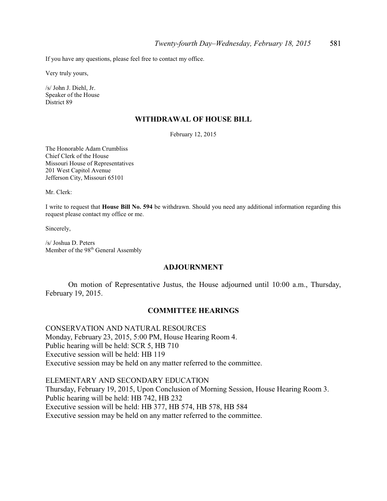If you have any questions, please feel free to contact my office.

Very truly yours,

/s/ John J. Diehl, Jr. Speaker of the House District 89

#### **WITHDRAWAL OF HOUSE BILL**

February 12, 2015

The Honorable Adam Crumbliss Chief Clerk of the House Missouri House of Representatives 201 West Capitol Avenue Jefferson City, Missouri 65101

Mr. Clerk:

I write to request that **House Bill No. 594** be withdrawn. Should you need any additional information regarding this request please contact my office or me.

Sincerely,

/s/ Joshua D. Peters Member of the 98<sup>th</sup> General Assembly

#### **ADJOURNMENT**

On motion of Representative Justus, the House adjourned until 10:00 a.m., Thursday, February 19, 2015.

## **COMMITTEE HEARINGS**

CONSERVATION AND NATURAL RESOURCES Monday, February 23, 2015, 5:00 PM, House Hearing Room 4. Public hearing will be held: SCR 5, HB 710 Executive session will be held: HB 119 Executive session may be held on any matter referred to the committee.

ELEMENTARY AND SECONDARY EDUCATION Thursday, February 19, 2015, Upon Conclusion of Morning Session, House Hearing Room 3. Public hearing will be held: HB 742, HB 232 Executive session will be held: HB 377, HB 574, HB 578, HB 584 Executive session may be held on any matter referred to the committee.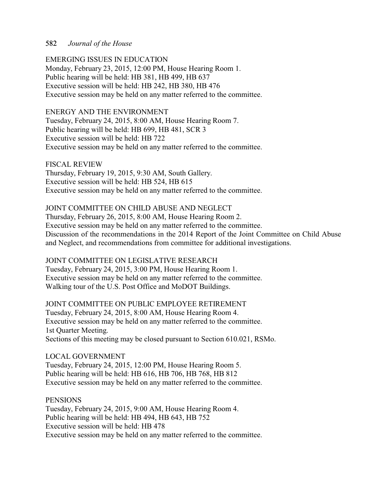EMERGING ISSUES IN EDUCATION Monday, February 23, 2015, 12:00 PM, House Hearing Room 1. Public hearing will be held: HB 381, HB 499, HB 637 Executive session will be held: HB 242, HB 380, HB 476 Executive session may be held on any matter referred to the committee.

# ENERGY AND THE ENVIRONMENT

Tuesday, February 24, 2015, 8:00 AM, House Hearing Room 7. Public hearing will be held: HB 699, HB 481, SCR 3 Executive session will be held: HB 722 Executive session may be held on any matter referred to the committee.

FISCAL REVIEW Thursday, February 19, 2015, 9:30 AM, South Gallery. Executive session will be held: HB 524, HB 615 Executive session may be held on any matter referred to the committee.

# JOINT COMMITTEE ON CHILD ABUSE AND NEGLECT

Thursday, February 26, 2015, 8:00 AM, House Hearing Room 2. Executive session may be held on any matter referred to the committee. Discussion of the recommendations in the 2014 Report of the Joint Committee on Child Abuse and Neglect, and recommendations from committee for additional investigations.

# JOINT COMMITTEE ON LEGISLATIVE RESEARCH

Tuesday, February 24, 2015, 3:00 PM, House Hearing Room 1. Executive session may be held on any matter referred to the committee. Walking tour of the U.S. Post Office and MoDOT Buildings.

JOINT COMMITTEE ON PUBLIC EMPLOYEE RETIREMENT Tuesday, February 24, 2015, 8:00 AM, House Hearing Room 4. Executive session may be held on any matter referred to the committee. 1st Quarter Meeting. Sections of this meeting may be closed pursuant to Section 610.021, RSMo.

LOCAL GOVERNMENT

Tuesday, February 24, 2015, 12:00 PM, House Hearing Room 5. Public hearing will be held: HB 616, HB 706, HB 768, HB 812 Executive session may be held on any matter referred to the committee.

### **PENSIONS**

Tuesday, February 24, 2015, 9:00 AM, House Hearing Room 4. Public hearing will be held: HB 494, HB 643, HB 752 Executive session will be held: HB 478 Executive session may be held on any matter referred to the committee.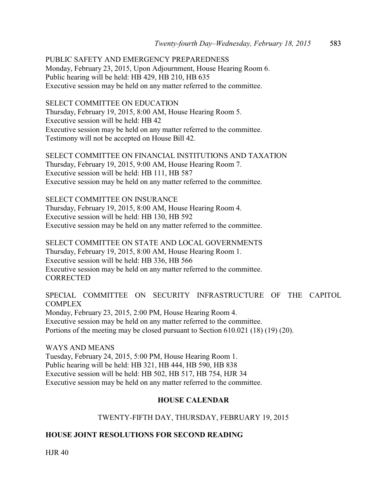PUBLIC SAFETY AND EMERGENCY PREPAREDNESS Monday, February 23, 2015, Upon Adjournment, House Hearing Room 6. Public hearing will be held: HB 429, HB 210, HB 635 Executive session may be held on any matter referred to the committee.

SELECT COMMITTEE ON EDUCATION Thursday, February 19, 2015, 8:00 AM, House Hearing Room 5.

Executive session will be held: HB 42 Executive session may be held on any matter referred to the committee. Testimony will not be accepted on House Bill 42.

SELECT COMMITTEE ON FINANCIAL INSTITUTIONS AND TAXATION Thursday, February 19, 2015, 9:00 AM, House Hearing Room 7. Executive session will be held: HB 111, HB 587 Executive session may be held on any matter referred to the committee.

SELECT COMMITTEE ON INSURANCE Thursday, February 19, 2015, 8:00 AM, House Hearing Room 4. Executive session will be held: HB 130, HB 592 Executive session may be held on any matter referred to the committee.

SELECT COMMITTEE ON STATE AND LOCAL GOVERNMENTS Thursday, February 19, 2015, 8:00 AM, House Hearing Room 1. Executive session will be held: HB 336, HB 566 Executive session may be held on any matter referred to the committee. **CORRECTED** 

SPECIAL COMMITTEE ON SECURITY INFRASTRUCTURE OF THE CAPITOL COMPLEX Monday, February 23, 2015, 2:00 PM, House Hearing Room 4. Executive session may be held on any matter referred to the committee. Portions of the meeting may be closed pursuant to Section 610.021 (18) (19) (20).

WAYS AND MEANS Tuesday, February 24, 2015, 5:00 PM, House Hearing Room 1. Public hearing will be held: HB 321, HB 444, HB 590, HB 838 Executive session will be held: HB 502, HB 517, HB 754, HJR 34 Executive session may be held on any matter referred to the committee.

# **HOUSE CALENDAR**

# TWENTY-FIFTH DAY, THURSDAY, FEBRUARY 19, 2015

# **HOUSE JOINT RESOLUTIONS FOR SECOND READING**

HJR 40